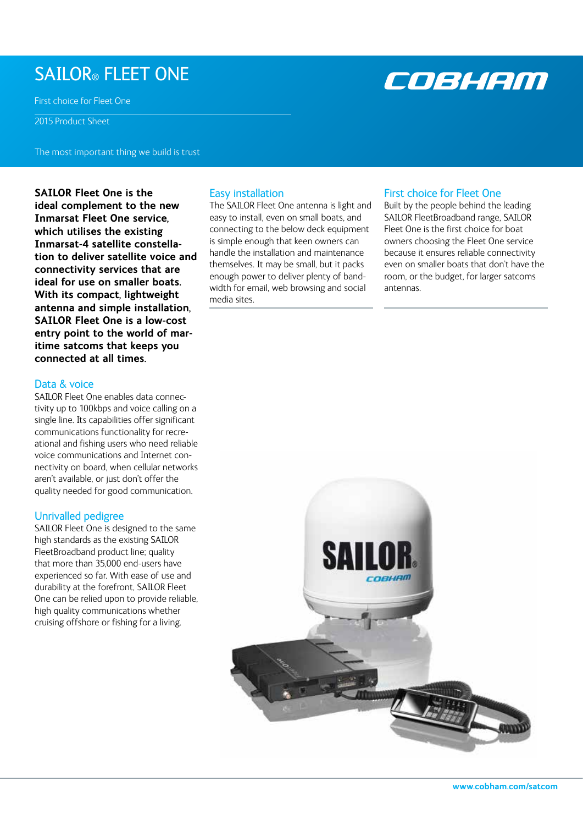# SAILOR® FLEET ONE

First choice for Fleet One

2015 Product Sheet

The most important thing we build is trust

**SAILOR Fleet One is the ideal complement to the new Inmarsat Fleet One service, which utilises the existing Inmarsat-4 satellite constellation to deliver satellite voice and connectivity services that are ideal for use on smaller boats. With its compact, lightweight antenna and simple installation, SAILOR Fleet One is a low-cost entry point to the world of maritime satcoms that keeps you connected at all times.** 

# Data & voice

SAILOR Fleet One enables data connectivity up to 100kbps and voice calling on a single line. Its capabilities offer significant communications functionality for recreational and fishing users who need reliable voice communications and Internet connectivity on board, when cellular networks aren't available, or just don't offer the quality needed for good communication.

## Unrivalled pedigree

SAILOR Fleet One is designed to the same high standards as the existing SAILOR FleetBroadband product line; quality that more than 35,000 end-users have experienced so far. With ease of use and durability at the forefront, SAILOR Fleet One can be relied upon to provide reliable, high quality communications whether cruising offshore or fishing for a living.

## Easy installation

The SAILOR Fleet One antenna is light and easy to install, even on small boats, and connecting to the below deck equipment is simple enough that keen owners can handle the installation and maintenance themselves. It may be small, but it packs enough power to deliver plenty of bandwidth for email, web browsing and social media sites.

## First choice for Fleet One

Built by the people behind the leading SAILOR FleetBroadband range, SAILOR Fleet One is the first choice for boat owners choosing the Fleet One service because it ensures reliable connectivity even on smaller boats that don't have the room, or the budget, for larger satcoms antennas.